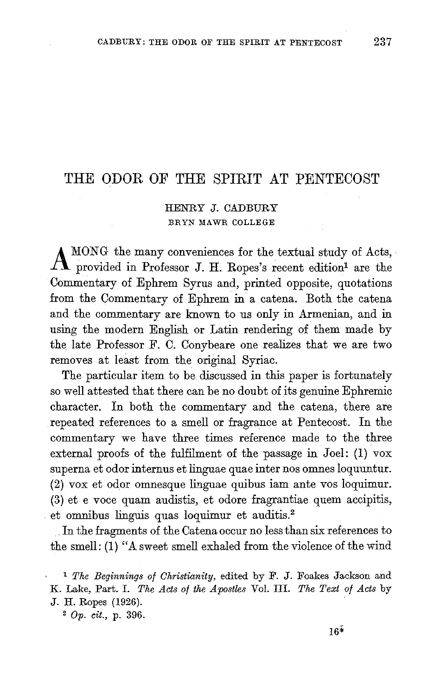## THE ODOR OF THE SPIRIT AT PENTECOST

## HENRY J. CADBURY BRYN MAWR COLLEGE

A MONG the many conveniences for the textual study of Acts, provided in Professor J. H. Ropes's recent edition<sup>1</sup> are the Commentary of Ephrem Syrus and, printed opposite, quotations from the Commentary of Ephrem in a catena. Both the catena and the commentary are known to us only in Armenian, and in using the modern English or Latin rendering of them made by the late Professor F. C. Conybeare one realizes that we are two removes at least from the original Syriac.

The particular item to be discussed in this paper is fortunately so well attested that there can be no doubt of its genuine Ephremic character. In both the commentary and the catena, there are repeated references to a smell or fragrance at Pentecost. In the commentary we have three times reference made to the three external proofs of the fulfilment of the passage in Joel: (1) vox superna et odor internus et linguae quae inter nos omnes loquuntur.  $(2)$  vox et odor omnesque linguae quibus iam ante vos loquimur. (3) et e voce quam audistis, et odore fragrantiae quem accipitis, et omnibus linguis quas loquimur et auditis.2

In the fragments of the Catena occur no less than six references to the smell: (1) "A sweet smell exhaled from the violence of the wind

<sup>1</sup>*The Beginnings of Christianity,* edited by F. J. Foakes Jackson and K. Lake, Part. I. *The Acts of the Apostles* Vol. III. *The Text of Acts* by J. H. Ropes (1926).

<sup>2</sup>Op. *cit.,* p. 396.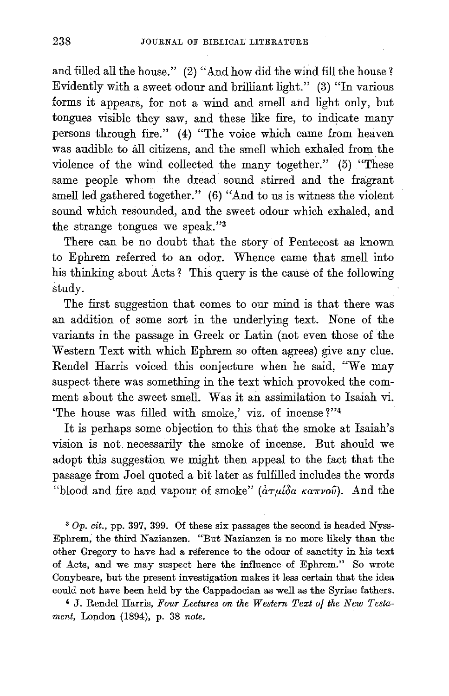and filled all the house." (2) "And how did the wind fill the house? Evidently with a sweet odour and brilliant light." (3) "In various forms it appears, for not a wind and smell and light only, but tongues visible they saw, and these like fire, to indicate many persons through fire." (4) "The voice which came from heaven was audible to all citizens, and the smell which exhaled from the violence of the wind collected the many together." (5) "These same people whom the dread sound stirred and the fragrant smell led gathered together." (6) "And to us is witness the violent sound which resounded, and the sweet odour which exhaled, and the strange tongues we speak."3

There can be no doubt that the story of Pentecost as known to Ephrem referred to an odor. Whence came that smell into his thinking about Acts? This query is the cause of the following study.

The first suggestion that comes to our mind is that there was an addition of some sort in the underlying text. None of the variants in the passage in Greek or Latin (not even those of the Western Text with which Ephrem so often agrees) give any clue. Rendel Harris voiced this conjecture when he said, "We may suspect there was something in the text which provoked the comment about the sweet smell. Was it an assimilation to Isaiah vi. 'The house was filled with smoke,' viz. of incense ?"4

It is perhaps some objection to this that the smoke at Isaiah's vision is not. necessarily the smoke of incense. But should we adopt this suggestion we might then appeal to the fact that the passage from Joel quoted a bit later as fulfilled includes the words "blood and fire and vapour of smoke"  $(\alpha \tau \mu \delta a \kappa a \pi \nu o \hat{\nu})$ . And the

3 *Op. cit.,* pp. 397, 399. Of these six passages the second is headed Nyss-Ephrem; the third Nazianzen. "But Nazianzen is no more likely than the other Gregory to have had a reference to the odour of sanctity in his text of Acts, and we may suspect here the influence of Ephrem." So wrote Conybeare, but the present investigation makes it less certain that the idea. could not have been held by the Cappadocian as well as the Syriac fathers.

4 J. Rendel Harris, *Four Lectures on the Western Text of the New Testament,* London (1894), p. 38 *note.*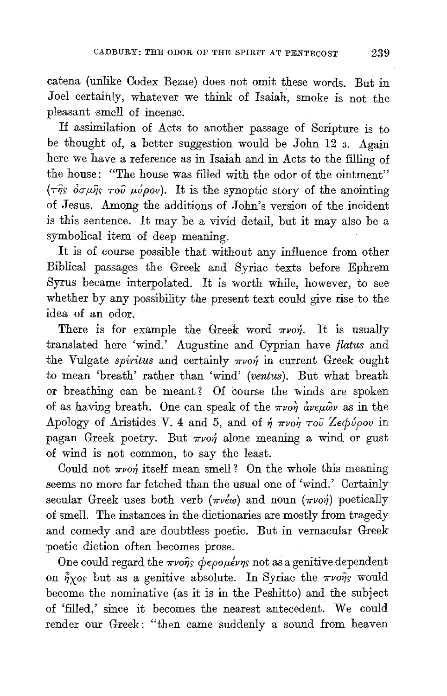catena (unlike Codex Bezae) does not omit these words. But in Joel certainly, whatever we think of Isaiah, smoke is not the pleasant smell of incense.

If assimilation of Acts to another passage of Scripture is to be thought of, a better suggestion would be John 12 3. Again here we have a reference as in Isaiah and in Acts to the filling of the house: "The house was filled with the odor of the ointment" ( $\tau$  $\hat{\eta}$ s  $\hat{\sigma}$  $\sigma \mu \hat{\eta}$ s  $\tau$ o $\hat{\nu}$   $\mu \hat{\nu}$  $\rho \omega$ ). It is the synoptic story of the anointing of Jesus. Among the additions of John's version of the incident is this sentence. It may be a vivid detail, but it may also be a symbolical item of deep meaning.

It is of course possible that without any influence from other Biblical passages the Greek and Syriac texts before Ephrem Syrus became interpolated. It is worth while, however, to see whether by any possibility the present text could give rise to the idea of an odor.

There is for example the Greek word  $\pi\nu$ on. It is usually translated here 'wind.' Augustine and Cyprian have *flatus* and the Vulgate *spiritus* and certainly  $\pi\nu$ on in current Greek ought to mean 'breath' rather than 'wind' *(ventus).* But what breath or breathing can be meant ? Of course the winds are spoken of as having breath. One can speak of the  $\pi\nu$ or  $\dot{a}\nu\epsilon\mu\hat{\omega}\nu$  as in the Apology of Aristides V. 4 and 5, and of  $\eta \pi\nu o\eta \tau o\tilde{\nu}$  Ze $\phi\tilde{\nu} \rho o\nu$  in pagan Greek poetry. But  $\pi\nu$ on alone meaning a wind or gust of wind is not common, to say the least.

Could not  $\pi\nu$ <sup>o</sup> itself mean smell? On the whole this meaning seems no more far fetched than the usual one of 'wind.' Certainly secular Greek uses both verb ( $\pi\nu\epsilon\omega$ ) and noun ( $\pi\nu\sigma\eta$ ) poetically of smell. The instances in the dictionaries are mostly from tragedy and comedy and are doubtless poetic. But in vernacular Greek poetic diction often becomes prose.

One could regard the  $\pi\nu$ ons  $\phi \epsilon \rho o \mu \acute{\epsilon} \nu \eta s$  not as a genitive dependent on  $\hat{\eta}_{XOS}$  but as a genitive absolute. In Syriac the  $\pi\nu$ o $\hat{\eta}_S$  would become the nominative (as it is in the Peshitto) and the subject of 'filled,' since it becomes the nearest antecedent. We could render our Greek: "then came suddenly a sound from heaven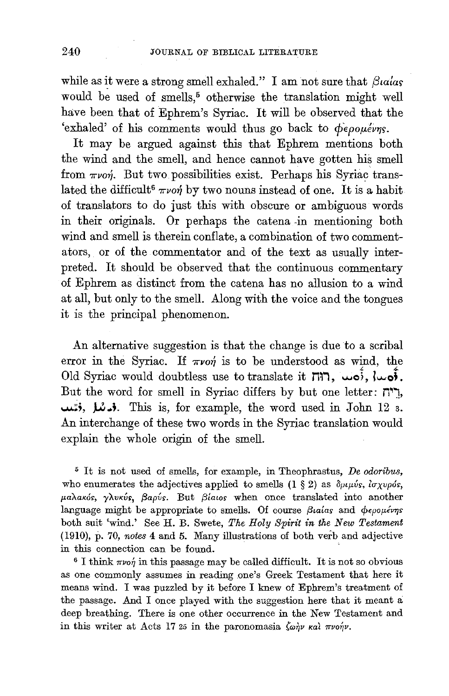while as it were a strong smell exhaled." I am not sure that  $\beta_1$ wards would be used of smells,<sup>5</sup> otherwise the translation might well have been that of Ephrem's Syriac. It will be observed that the 'exhaled' of his comments would thus go back to φερομένης.

It may be argued against this that Ephrem mentions both the wind and the smell, and hence cannot have gotten his smell from  $\pi\nu$ o*n*. But two possibilities exist. Perhaps his Syriac translated the difficult<sup>6</sup>  $\pi\nu$ on by two nouns instead of one. It is a habit of translators to do just this with obscure or ambiguous words in their originals. Or perhaps the catena -in mentioning both wind and smell is therein conflate, a combination of two commentators, or of the commentator and of the text as usually interpreted. It should be observed that the continuous commentary of Ephrem as distinct from the catena has no allusion to a wind at all, but only to the smell. Along with the voice and the tongues it is the principal phenomenon.

An alternative suggestion is that the change is due to a scribal error in the Syriac. If  $\pi\nu$ on is to be understood as wind, the Old Syriac would doubtless use to translate it M~1, **..... c), lu..oL**  But the word for smell in Syriac differs by but one letter:  $n^*$ , ~;, **,U .. ;.** This is, for example, the word used in John 12 3. An interchange of these two words in the Syriac translation would explain the whole origin of the smell.

5 It is not used of smells, for example, in Theophrastus, *De odoribus,*  who enumerates the adjectives applied to smells  $(1 \tS 2)$  as  $\delta \rho \mu \nu \nu s$ ,  $\delta \sigma \chi \nu \rho \delta s$ , *p.aA.aKo>, yXvKvs, {3apvs.* But *{3latos* when once translated into another language might be appropriate to smells. Of course *βιαίας* and φερομένης both suit 'wind.' See H. B. Swete, *The Holy Spirit in the New Testament*  (1910), p. 70, *notes* 4 and 5. Many illustrations of both verb and adjective in this connection can be found.

 $6$  I think  $\pi\nu$ o $\eta$  in this passage may be called difficult. It is not so obvious as one commonly assumes in reading one's Greek Testament that here it means wind. I was puzzled by it before I knew of Ephrem's treatment of the passage. And I once played with the suggestion here that it meant a deep breathing. There is one other occurrence in the New Testament and in this writer at Acts 17 25 in the paronomasia  $\zeta \omega \eta \nu$  *kal*  $\pi \nu o \eta \nu$ *.*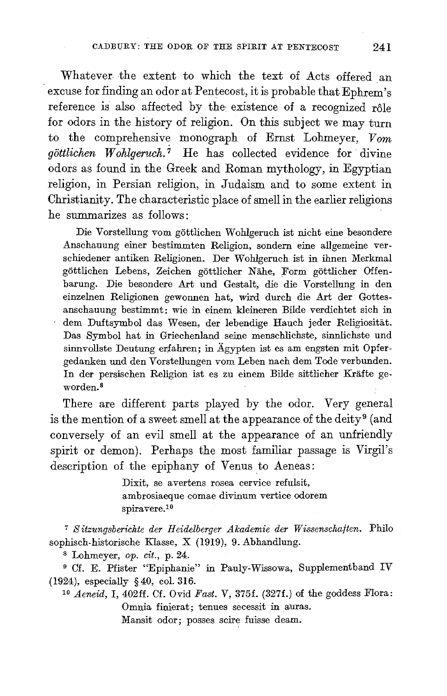Whatever the extent to which the text of Acts offered an excuse for finding an odor at Pentecost, it is probable that Ephrem's reference is also affected by the existence of a recognized rôle for odors in the history of religion. On this subject we may turn to the comprehensive monograph of Ernst Lohmeyer,  $V$ om *göttlichen* Wohlgeruch.<sup>7</sup> He has collected evidence for divine odors as found in the Greek and Roman mythology, in Egyptian religion, in Persian religion, in Judaism and to some extent in Christianity. The characteristic place of smell in the earlier religions he summarizes as follows:

Die Vorstellung vom gottlichen Wohlgeruch ist nicht eine besondere Anschauung einer bestimmten Religion, sondern eine allgemeine verschiedener antiken Religionen. Der Wohlgeruch ist in ihnen Merkmal gottlichen Lebens, Zeichen gottlicher Nahe, Form gottlicher Offenbarung. Die besondere Art und Gestalt, die die Vorstellung in den einzelnen Religionen gewonnen hat, wird durch die Art der Gottesanschauung bestimmt: wie in einem kleineren Bilde verdichtet sich in dem Duftsymbol das Wesen, der lebendige Hauch jeder Religiositat. Das Symbol hat in Griechenland seine menschlichste, sinnlichste und sinnvollste Deutung erfahren; in Ägypten ist es am engsten mit Opfergedanken und den Vorstellungen vom Leben nach dem Tode verbunden. In der persischen Religion ist es zu einem Bilde sittlicher Krafte geworden.8

There are different parts played by the odor. Very general is the mention of a sweet smell at the appearance of the deity<sup>9</sup> (and conversely of an evil smell at the appearance of an unfriendly spirit or demon). Perhaps the most familiar passage is Virgil's description of the epiphany of Venus to Aeneas:

> Dixit, se avertens rosea cervice refulsit, ambrosiaeque comae divinum vertice odorem spiravere.1°

<sup>7</sup>*Sitzungsberichte der Heidelberger .Akademie der Wissenschaften.* Philo sophisch-historische Klasse, X (1919), 9. Abhandlung.

8 Lohmeyer, *op. cit.,* p. 24.

9 Cf. E. Pfister "Epiphanie" in Pauly-Wissowa, Supplementband IV (1924), especially § 40, col. 316.

<sup>10</sup> *Aeneid*, I, 402ff. Cf. Ovid *Fast*. V, 375f. (327f.) of the goddess Flora: Omnia finierat; tenues secessit in auras.

Mansit odor; posses scire fuisse deam.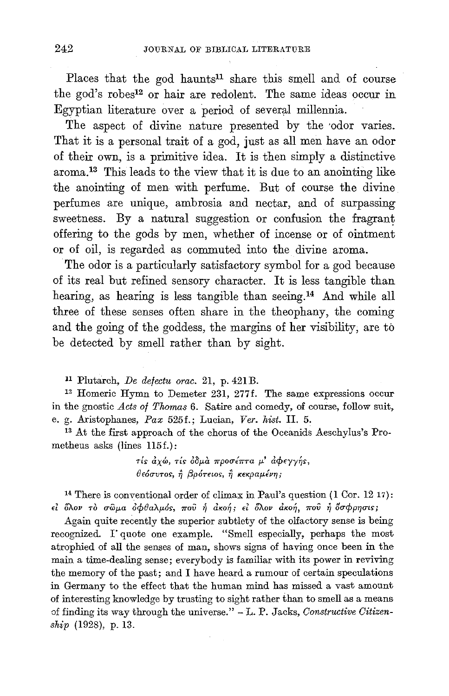Places that the god haunts<sup>11</sup> share this smell and of course the god's robes12 or hair are redolent. The same ideas occur in Egyptian literature over a period of several millennia.

The aspect of divine nature presented by the odor varies. That it is a personal trait of a god, just as all men have an odor of their own, is a primitive idea. It is then simply a distinctive aroma\_l3 This leads to the view that it is due to an anointing like the anointing of men with perfume. But of course the divine perfumes are unique, ambrosia and nectar, and of surpassing sweetness. By a natural suggestion or confusion the fragrant offering to the gods by men, whether of incense or of ointment or of oil, is regarded as commuted into the divine aroma.

The odor is a particularly satisfactory symbol for a god because of its real but refined sensory character. It is less tangible than hearing, as hearing is less tangible than seeing.14 And while all three of these senses often share in the theophany, the coming and the going of the goddess, the margins of her visibility, are to be detected by smell rather than by sight.

11 Plutarch, *De defectu orac.* 21, p. 421 B.<br><sup>12</sup> Homeric Hymn to Demeter 231, 277f. The same expressions occur in the gnostic *Acts of Thomas* 6. Satire and comedy, of course, follow suit, e. g. Aristophanes, *Pax* 525f.; Lucian, *Ver. kist.* II. 5.

13 At the first approach of the chorus of the Oceanids Aeschylus's Prometheus asks (lines 115f.):

> $\tau$ *is αλχώ, τις δδμα προσέπτα μ' αφεγγής, BE6rrvros-,* ~ *(3p6rEws,* ~ *KEKpap.€vry;*

<sup>14</sup> There is conventional order of climax in Paul's question  $(1 \text{ Cor. } 1217)$ :  $\epsilon$ <sup>2</sup> <sup>5</sup>λον τὸ σῶμα ὀφθαλμός, ποῦ ἡ ἀκοή; εἰ ὅλον ἀκοή, ποῦ ἡ ὅσφρησις;

Again quite recently the superior subtlety of the olfactory sense is being recognized. I" quote one example. "Smell especially, perhaps the most atrophied of all the senses of man, shows signs of having once been in the main a time-dealing sense; everybody is familiar with its power in reviving the memory of the past; and I have heard a rumour of certain speculations in Germany to the effect that the human mind has missed a vast amount of interesting knowledge by trusting to sight rather than to smell as a means of finding its way through the universe." - L. P. Jacks, *Constructive Citizenship* (1928), p. 13.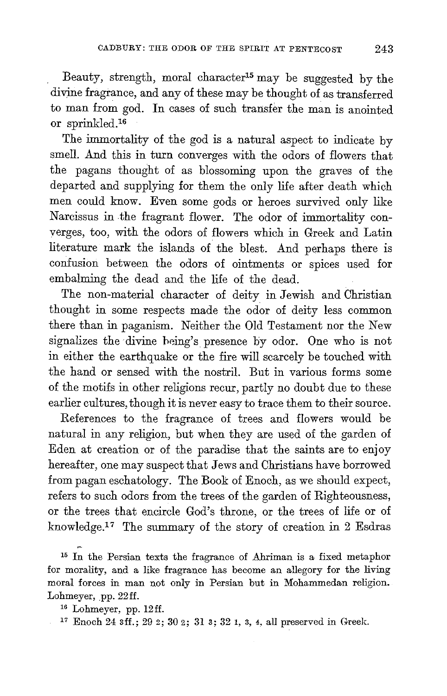Beauty, strength, moral character15 may be suggested by the divine fragrance, and any of these may be thought of as transferred to man from god. In cases of such transfer the man is anointed or sprinkled.16

The immortality of the god is a natural aspect to indicate by smell. And this in turn converges with the odors of flowers that the pagans thought of as blossoming upon the graves of the departed and supplying for them the only life after death which men could know. Even some gods or heroes survived only like Narcissus in the fragrant flower. The odor of immortality converges, too, with the odors of flowers which in Greek and Latin literature mark the islands of the blest. And perhaps there is confusion between the odors of ointments or spices used for embalming the dead and the life of the dead.

The non-material character of deity in Jewish and Christian thought in some respects made the odor of deity less common there than in paganism. Neither the Old Testament nor the New signalizes the divine being's presence by odor. One who is not in either the earthquake or the fire will scarcely be touched with the hand or sensed with the nostril. But in various forms some of the motifs in other religions recur, partly no doubt due to these earlier cultures, though it is never easy to trace them to their source.

References to the fragrance of trees and flowers would be natural in any religion, but when they are used of the garden of Eden at creation or of the paradise that the saints are to enjoy hereafter, one may suspect that Jews and Christians have borrowed from pagan eschatology. The Book of Enoch, as we should expect, refers to such odors from the trees of the garden of Righteousness, or the trees that encircle God's throne, or the trees of life or of knowledge.17 The summary of the story of creation in 2 Esdras

15 In the Persian texts the fragrance of Ahriman is a fixed metaphor for morality, and a like fragrance has become an allegory for the living moral forces in man not only in Persian but in Mohammedan religion. Lohmeyer, pp. 22ff.<br><sup>16</sup> Lohmeyer, pp. 12ff.<br><sup>17</sup> Enoch 24 sff.; 29 2; 30 2; 31 s; 32 1, 3, 4, all preserved in Greek.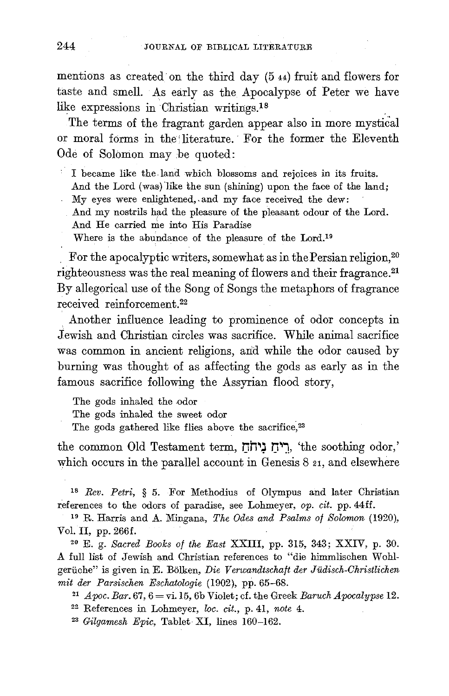mentions as created· on the third day (5 44) fruit and flowers for taste and smell. As early as the Apocalypse of Peter we have like expressions in Christian writings.<sup>18</sup>

The terms of the fragrant garden appear also in more mystical or moral forms in the literature. For the former the Eleventh Ode of Solomon may .be quoted:

I became like the land which blossoms and rejoices in its fruits.

- And the Lord (was) like the sun (shining) upon the face of the land;
- $M_V$  eyes were enlightened, and  $m_V$  face received the dew:
	- And my nostrils had the pleasure of the pleasant odour of the Lord. And He carried me into His Paradise
	- Where is the abundance of the pleasure of the Lord.19

For the apocalyptic writers, somewhat as in the Persian religion,<sup>20</sup> righteousness was the real meaning of flowers and their fragrance.21 By allegorical use of the Song of Songs the metaphors of fragrance received reinforcement.22

. Another influence leading to prominence of odor concepts in Jewish and Christian circles was sacrifice. While animal sacrifice was common in ancient religions, arid while the odor caused by burning was thought of as affecting the gods as early as in the famous sacrifice following the Assyrian flood story,

The gods inhaled the odor

The gods inhaled the sweet odor

The gods gathered like flies above the sacrifice, <sup>23</sup>

the common Old Testament term, ריח ניחה, 'the soothing odor,' which occurs in the parallel account in Genesis 8 21, and elsewhere

<sup>18</sup>*Rev. Petri,* § 5. For Methodius of Olympus and later Christian references to the odors of paradise, see Lohmeyer, *op. cit.* pp. 44ff. 19 R. Harris and A. 11ingana, *The Odes and Psalms of Solomon* (1920),

Vol. II, pp. 266f.

20 E. g. *Sacred Books of the East* XXIII, pp. 315, 343; XXIV, p. 30. A full list of Jewish and Christian references to "die himmlischen Wohlgeriiche" is given in E. Bolken, *Die Verwandtschaft der Judisch-Christlichen mit der Parsischen Eschatologie* (1902), pp. 65–68.<br><sup>21</sup> *Apoc. Bar.* 67, 6 = vi.15, 6b Violet; cf. the Greek *Baruch Apocalypse* 12.<br><sup>22</sup> References in Lohmeyer, *loc. cit.*, p. 41, *note* 4.

23 *Gilgamesh Epic,* Tablet XI, lines 160-162.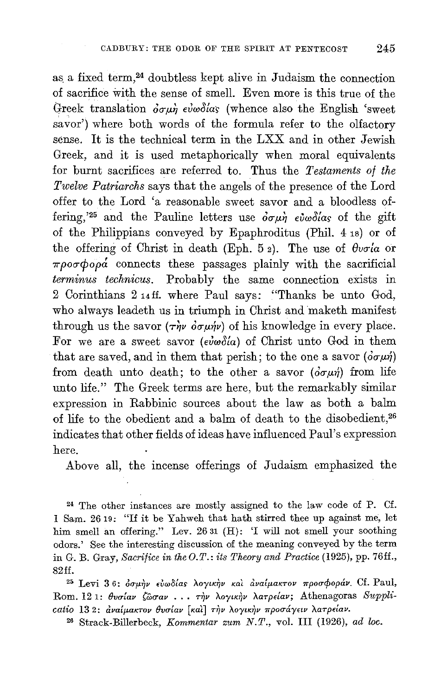as. a fixed term,24 doubtless kept alive in Judaism the connection of sacrifice with the sense of smell. Even more is this true of the Greek translation  $\partial \sigma \mu \dot{\eta}$  evables (whence also the English 'sweet savor') where both words of the formula refer to the olfactory sense. It is the technical term in the LXX and in other Jewish Greek, and it is used metaphorically when moral equivalents for burnt sacrifices are referred to. Thus the *Testaments of the Twelve Patriarchs* says that the angels of the presence of the Lord offer to the Lord 'a reasonable sweet savor and a bloodless offering,<sup>'25</sup> and the Pauline letters use  $\partial \sigma \mu \dot{\eta}$  evwoltas of the gift of the Philippians conveyed by Epaphroditus (Phil. 4 1s) or of the offering of Christ in death (Eph. 5  $_2$ ). The use of  $\theta$ vola or  $\pi \rho$ o $\sigma \phi$ o $\rho$ *á* connects these passages plainly with the sacrificial *terminus technicus.* Probably the same connection exists in 2 Corinthians 2 14ff. where Paul says: "Thanks be unto God, who always leadeth us in triumph in Christ and maketh manifest through us the savor  $(\tau \dot{\eta} \dot{\nu} \dot{\delta} \sigma \mu \dot{\eta} \dot{\nu})$  of his knowledge in every place. For we are a sweet savor ( $e\dot{i}\omega\delta(a)$  of Christ unto God in them that are saved, and in them that perish; to the one a savor  $(\delta \sigma \mu \dot{\eta})$ from death unto death; to the other a savor  $(\partial \sigma \mu \eta)$  from life unto life." The Greek terms are here, but the remarkably similar expression in Rabbinic sources about the law as both a balm of life to the obedient and a balm of death to the disobedient,26 indicates that other fields of ideas have influenced Paul's expression here.

Above all, the incense offerings of Judaism emphasized the

24 The other instances are mostly assigned to the law code of P. Cf. 1 Sam. 2619: "If it be Yahweh that hath stirred thee up against me, let him smell an offering." Lev. 26 31 (H): 'I will not smell your soothing odors.' See the interesting discussion of the meaning conveyed by the term in G. B. Gray, *Sacrifice in the O.T.: its Theory and Practice* (1925), pp. 76ff., 82ff.

<sup>25</sup> Levi 36: όσμήν εύωδίας λογικήν και αναίμακτον προσφοράν. Cf. Paul, Rom. 12 1: θυσίαν ζώσαν . . . την λογικήν λατρείαν; Athenagoras Supplicatio 132: αναίμακτον θυσίαν [και ] την λογικην προσάγειν λατρείαν.

26 Strack-Billerbeck, *Kommentar zum N.T.,* vo!. III (1926), *ad loc.*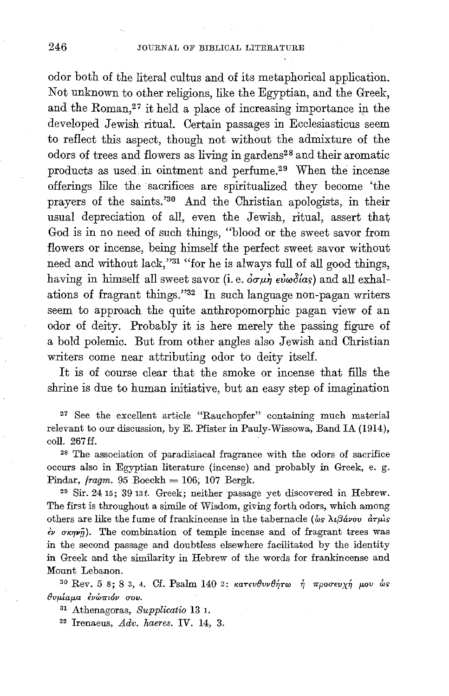odor both of the literal cultus and of its metaphorical application. Not unknown to other religions, like the Egyptian, and the Greek, and the Roman, $27$  it held a place of increasing importance in the developed Jewish ritual. Certain passages in Ecclesiasticus seem to reflect this aspect, though not without the admixture of the odors of trees and flowers as living in gardens<sup>28</sup> and their aromatic products as usedin ointment and perfume.29 When the incense offerings like the sacrifices are spiritualized they become 'the prayers of the saints.'30 And the Christian apologists, in their usual depreciation of all, even the Jewish, ritual, assert that God is in no need of such things, "blood or the sweet savor from flowers or incense, being himself the perfect sweet savor without need and without lack,"31 "for he is always full of all good things, having in himself all sweet savor (i.e.  $\partial \sigma \mu \dot{\eta}$   $\epsilon \nu \omega \partial \alpha s$ ) and all exhalations of fragrant things."32 In such language non-pagan writers seem to approach the quite anthropomorphic pagan view of an odor of deity. Probably it is here merely the passing figure of a bold polemic. But from other angles also Jewish and Christian writers come near attributing odor to deity itself.

It is of course clear that the smoke or incense that fills the shrine is due to human initiative, but an easy step of imagination

27 See the excellent article "Rauchopfer" containing much material relevant to our discussion, by E. Pfister in Pauly-Wissowa, Band IA (1914), coli. 267 ff.

28 The association of paradisiacal fragrance with the odors of sacrifice occurs also in Egyptian literature (incense) and probably in Greek, e. g. Pindar, fragm. 95 Boeckh = 106; 107 Bergk.<br><sup>29</sup> Sir. 24 15; 39 13f. Greek; neither passage yet discovered in Hebrew.

The first is throughout a simile of Wisdom, giving forth odors, which among others are like the fume of frankincense in the tabernacle ( $\delta s \lambda \iota \beta d$ *vov*  $d\tau \mu$ *is*  $\dot{\epsilon}$   $\sigma$   $\kappa \eta \nu \hat{\eta}$ ). The combination of temple incense and of fragrant trees was in the second passage and doubtless elsewhere facilitated by the identity in Greek and the similarity in Hebrew of the words for frankincense and Mount Lebanon.<br><sup>30</sup> Rev. 5 8; 8 3, 4. Cf. Psalm 140 2: karevθvνθήτω ή προσευχή μου ως

 $\theta$ *vμίαμα ένώπιόν σου.* 

31 Athenagoras, Supplicatio 13 1.

<sup>32</sup> Irenaeus, *Adv. haeres.* IV. 14, 3.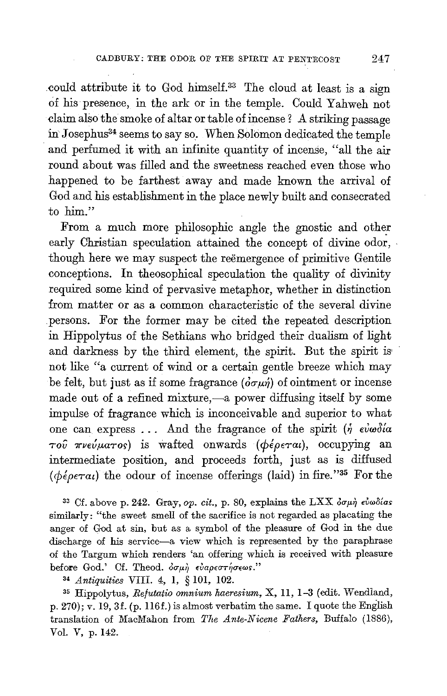could attribute it to God himself.<sup>33</sup> The cloud at least is a sign of his presence, in the ark or in the temple. Could Yahweh not claim also the smoke of altar or table of incense? A striking passage in Josephus<sup>34</sup> seems to say so. When Solomon dedicated the temple and perfumed it with an infinite quantity of incense, "all the air round about was filled and the sweetness reached even those who happened to be farthest away and made known the arrival of God and his establishment in the place newly built and consecrated to him."

From a much more philosophic angle the gnostic and other early Christian speculation attained the concept of divine odor, though here we may suspect the reemergence of primitive Gentile conceptions. In theosophical speculation the quality of divinity required some kind of pervasive metaphor, whether in distinction from matter or as a common characteristic of the several divine persons. For the former may be cited the repeated description in Hippolytus of the Sethians who bridged their dualism of light and darkness by the third element, the spirit. But the spirit is' not like "a current of wind or a certain gentle breeze which may be felt, but just as if some fragrance  $(\delta \sigma \mu \eta)$  of ointment or incense made out of a refined mixture,-a power diffusing itself by some impulse of fragrance which is inconceivable and superior to what one can express  $\ldots$  And the fragrance of the spirit  $(j \epsilon \omega \omega)$ *Tou* 7rvev,uaTo~) is wafted onwards *(¢€peTat),* occupying an intermediate position, and proceeds forth, just as is diffused *(¢€peTat)* the odour of incense offerings (laid) in fire."35 For the

<sup>33</sup> Cf. above p. 242. Gray, op. cit., p. 80, explains the LXX  $\delta \sigma \mu \dot{\eta}$   $\epsilon \dot{\nu} \omega \delta \delta \alpha s$ similarly: "the sweet smell of the sacrifice is not regarded as placating the anger of God at sin, but as a symbol of the pleasure of God in the due discharge of his service-a view which is represented by the paraphrase of the Targum which renders 'an offering which is received with pleasure before God.' Cf. Theod.  $\delta \sigma \mu \dot{\eta}$  ευαρεστήσεωs."

<sup>~</sup>*Antiquities* VIII. 4, I, § 101, 102.

35 Hippolytus, *Refutatio omnium haeresium,* X, II, 1-3 (edit. Wendland, p. 270); *v.* 19, 3f. (p. 116f.) is almost verbatim the same. I quote the English translation of MacMahon from *The Ante-Nicene Fathers,* Buffalo (1886), Vol. V, p. 142.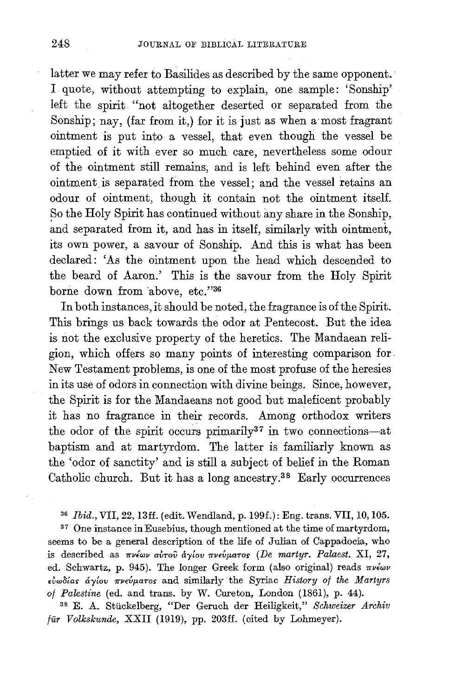latter we may refer to Basilides as described by the same opponent. I quote, without attempting to explain, one sample: 'Sonship' left the spirit "not altogether deserted or separated from the Sonship; nay, (far from it,) for it is just as when a most fragrant ointment is put into a vessel, that even though the vessel be emptied of it with ever so much care, nevertheless some odour of the ointment still remains, and is left behind even after the ointment is separated from the vessel; and the vessel retains an odour of ointment, though it contain not the ointment itself. So the Holy Spirit has continued without any share in the Sonship, and separated from it, and has in itself, similarly with ointment, its own power, a savour of Sonship. And this is what has been declared: 'As the ointment upon the head which descended to the beard of Aaron.' This is the savour from the Holy Spirit borne down from above, etc."36

In both instances, it should be noted, the fragrance is of the Spirit. This brings us back towards the odor at Pentecost. But the idea is not the exclusive property of the heretics. The Mandaean religion, which offers so many points of interesting comparison for. New Testament problems, is one of the most profuse of the heresies in its use of odors in connection with divine beings. Since, however, the Spirit is for the Mandaeans not good but maleficent probably it has no fragrance in their records. Among orthodox writers the odor of the spirit occurs primarily<sup>37</sup> in two connections-at baptism and at martyrdom. The latter is familiarly known as the 'odor of sanctity' and is still a subject of belief in the Roman Catholic church. But it has a long ancestry.38 Early occurrences

<sup>36</sup>*Ibid.,* VII, 22, 13ff. (edit. Wendland, p.199f.): Eng. trans. VII, 10,105.

37 One instance inEusebius, though mentioned at the time of martyrdom, seems to be a general description of the life of Julian of Cappadocia, who is described as πνέων αύτου άγίου πνεύματος (De martyr. Palaest. XI, 27, ed. Schwartz, p. 945). The longer Greek form (also original) reads *rrviwv*   $ε$ *iωδίαs άγίου πνεύματοs* and similarly the Syriac *History of the Martyrs of Palestine* (ed. and trans. by W. Cureton, London (1861), p. 44).

38 E. A. Stiickelberg, "Der Geruch der Heiligkeit," *Schweizer Archiv fur Volkskunde,* XXII (1919), pp. 203ff. (cited by Lohmeyer).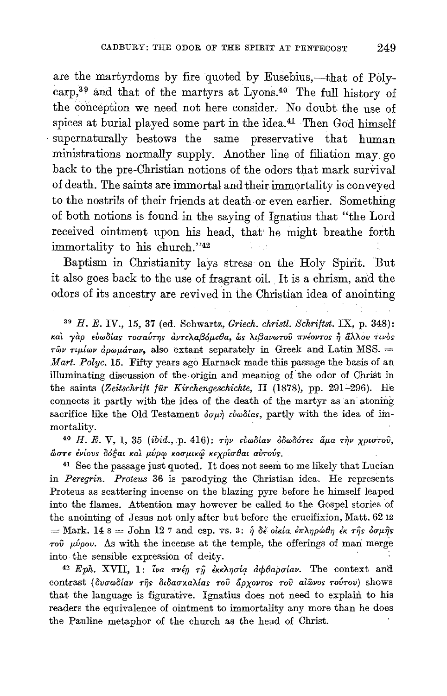are the martyrdoms by fire quoted by Eusebius,—that of Polycarp,<sup>39</sup> and that of the martyrs at Lyons.<sup>40</sup> The full history of the conception we need not here consider. No doubt the use of spices at burial played some part in the idea.<sup>41</sup> Then God himself supernaturally bestows the same preservative that human ministrations normally supply. Another line of filiation may go back to the pre-Christian notions of the odors that mark survival of death. The saints are immortal and their immortality is conveyed to the nostrils of their friends at death or even earlier. Something of both notions is found in the saying of Ignatius that "the Lord received ointment upon his head, that he might breathe forth immortality to his church."42

Baptism in Christianity lays stress on the Holy Spirit. But it also goes back to the use of fragrant oil. It is a chrism, and the odors of its ancestry are revived in the Christian idea of anointing

 $39$  H. E. IV., 15, 37 (ed. Schwartz, Griech. christl. Schriftst. IX, p. 348): και γάρ ευωδίας τοσαύτης άντελαβόμεθα, ως λιβανωτού πνέοντος ή άλλου τινός  $\tau \hat{\omega} \nu$   $\tau \mu \hat{\mu} \omega \rho \hat{\mu} \omega \mu \hat{\sigma} \tau \omega \nu$ , also extant separately in Greek and Latin MSS.  $\Rightarrow$ Mart. Polyc. 15. Fifty years ago Harnack made this passage the basis of an illuminating discussion of the origin and meaning of the odor of Christ in the saints (Zeitschrift für Kirchengeschichte, II (1878), pp. 291-296). He connects it partly with the idea of the death of the martyr as an atoning sacrifice like the Old Testament  $\partial \sigma \mu \dot{\eta}$  simplicity, partly with the idea of immortality.

<sup>40</sup> H. E. V, 1, 35 (ibid., p. 416): την ευωδίαν οδωδότες άμα την χριστού, ώστε ένίους δόξαι και μύρω κοσμικώ κεχρίσθαι αυτούς.

<sup>41</sup> See the passage just quoted. It does not seem to me likely that Lucian in Peregrin. Proteus 36 is parodying the Christian idea. He represents Proteus as scattering incense on the blazing pyre before he himself leaped into the flames. Attention may however be called to the Gospel stories of the anointing of Jesus not only after but before the crucifixion, Matt. 62 12 = Mark. 14 8 = John 12 7 and esp. vs. 3:  $\eta$  δε οίκια επληρώθη εκ της δσμής  $\tau$ ov  $\mu\nu\rho\sigma\nu$ . As with the incense at the temple, the offerings of man merge into the sensible expression of deity.

<sup>42</sup> Eph. XVII, 1: iva πνέη τη εκκλησία αφθαρσίαν. The context and contrast (δυσωδίαν της διδασκαλίας του άρχοντος του αίωνος τούτου) shows that the language is figurative. Ignatius does not need to explain to his readers the equivalence of ointment to immortality any more than he does the Pauline metaphor of the church as the head of Christ.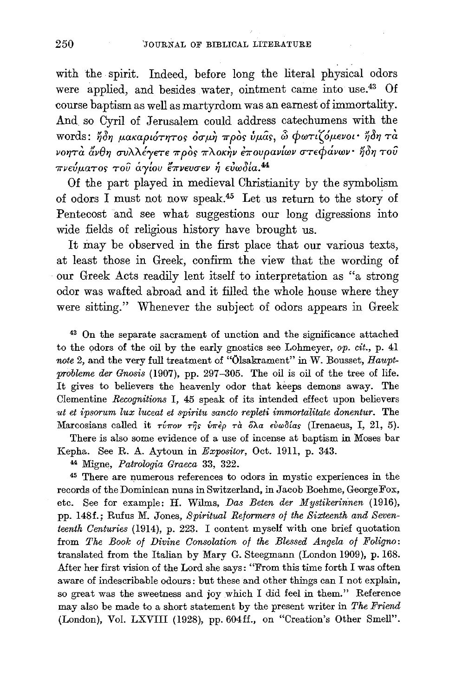with the spirit. Indeed, before long the literal physical odors were applied, and besides water, ointment came into use.<sup>43</sup> Of course baptism as well as martyrdom was an earnest of immortality. And so Cyril of Jerusalem could address catechumens with the words: ήδη μακαριότητος όσμη πρός ύμας, ω φωτιζόμενοι· ήδη τά νοητά άνθη συλλέγετε πρός πλοκήν έπουρανίων στεφάνων· ήδη του πνεύματος του άγίου έπνευσεν ή ευωδία.<sup>44</sup>

Of the part played in medieval Christianity by the symbolism of odors I must not now speak.<sup>45</sup> Let us return to the story of Pentecost and see what suggestions our long digressions into wide fields of religious history have brought us.

It may be observed in the first place that our various texts, at least those in Greek, confirm the view that the wording of our Greek Acts readily lent itself to interpretation as "a strong odor was wafted abroad and it filled the whole house where they were sitting." Whenever the subject of odors appears in Greek

<sup>43</sup> On the separate sacrament of unction and the significance attached to the odors of the oil by the early gnostics see Lohmeyer, op.  $cit., p. 4l$ note 2, and the very full treatment of "Ölsakrament" in W. Bousset, Hauptprobleme der Gnosis (1907), pp. 297-305. The oil is oil of the tree of life. It gives to believers the heavenly odor that keeps demons away. The Clementine Recognitions I, 45 speak of its intended effect upon believers ut et ipsorum lux luceat et spiritu sancto repleti immortalitate donentur. The Marcosians called it  $\tau \nu \tau \circ \nu$   $\tau \gamma$ s  $\nu \tau \partial \rho$   $\tau \alpha$   $\delta \lambda \alpha$   $\epsilon \nu \omega \delta \alpha$ s (Irenaeus, I, 21, 5).

There is also some evidence of a use of incense at baptism in Moses bar Kepha. See R. A. Aytoun in Expositor, Oct. 1911, p. 343.

44 Migne, Patrologia Graeca 33, 322.

<sup>45</sup> There are numerous references to odors in mystic experiences in the records of the Dominican nuns in Switzerland, in Jacob Boehme, George Fox, etc. See for example: H. Wilms, Das Beten der Mystikerinnen (1916), pp. 148f.; Rufus M. Jones, Spiritual Reformers of the Sixteenth and Seventeenth Centuries (1914), p. 223. I content myself with one brief quotation from The Book of Divine Consolation of the Blessed Angela of Foligno: translated from the Italian by Mary G. Steegmann (London 1909), p. 168. After her first vision of the Lord she says: "From this time forth I was often aware of indescribable odours: but these and other things can I not explain, so great was the sweetness and joy which I did feel in them." Reference may also be made to a short statement by the present writer in The Friend (London), Vol. LXVIII (1928), pp. 604ff., on "Creation's Other Smell".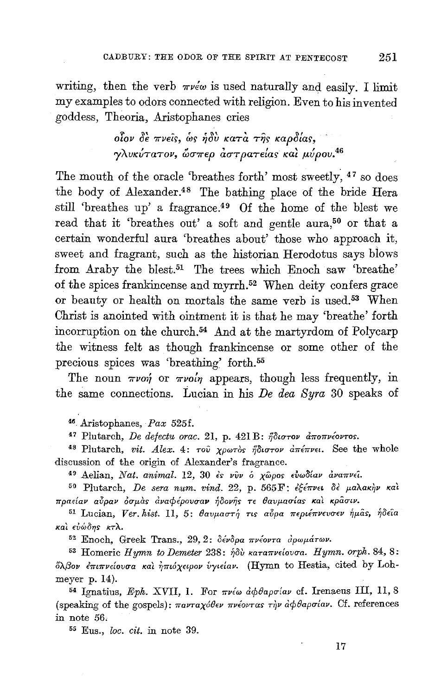writing, then the verb  $\pi \nu \epsilon \omega$  is used naturally and easily. I limit my examples to odors connected with religion. Even to his invented goddess, Theoria, Aristophanes cries

> $\delta$ ίον δε πνείς, ως ήδυ κατά της καρδίας, γλυκύτατον, ώσπερ αστρατείας και μύρου.<sup>46</sup>

The mouth of the oracle 'breathes forth' most sweetly, <sup>47</sup> so does the body of Alexander.<sup>48</sup> The bathing place of the bride Hera still 'breathes up' a fragrance.<sup>49</sup> Of the home of the blest we read that it 'breathes out' a soft and gentle aura,<sup>50</sup> or that a certain wonderful aura 'breathes about' those who approach it, sweet and fragrant, such as the historian Herodotus says blows from Araby the blest.<sup>51</sup> The trees which Enoch saw 'breathe' of the spices frankineense and myrrh.<sup>52</sup> When deity confers grace or beauty or health on mortals the same verb is used.<sup>53</sup> When Christ is anointed with ointment it is that he may 'breathe' forth incorruption on the church.<sup>54</sup> And at the martyrdom of Polycarp the witness felt as though frankincense or some other of the precious spices was 'breathing' forth.<sup>55</sup>

The noun  $\pi\nu$ on or  $\pi\nu$ on appears, though less frequently, in the same connections. Lucian in his De dea Syra 30 speaks of

<sup>46</sup> Aristophanes, Pax 525f.

<sup>47</sup> Plutarch, De defectu orac. 21, p. 421 Β: ήδιστον αποπνέοντος.

48 Plutarch, vit. Alex. 4: του χρωτός ήδιστον απέπνει. See the whole discussion of the origin of Alexander's fragrance.

<sup>49</sup> Aelian, Nat. animal. 12, 30 ές νύν ο χώρος ευωδίαν αναπνεί.

<sup>50</sup> Plutarch, De sera num. vind. 22, p. 565 F: εξέπνει δε μαλακήν και πραείαν αύραν όσμας αναφέρουσαν ήδονης τε θαυμασίας και κρασιν.

<sup>51</sup> Lucian, Ver. hist. 11, 5: θαυμαστή τις αύρα περιέπνευσεν ήμας, ήδεια και ευώδης κτλ.

<sup>52</sup> Enoch, Greek Trans., 29, 2: δένδρα πνέοντα άρωμάτων.

<sup>53</sup> Homeric Hymn to Demeter 238: ήδὺ καταπνείουσα. Hymn. orph. 84, 8: όλβον επιπνείουσα και ηπιόχειρον υγιείαν. (Hymn to Hestia, cited by Lohmeyer p. 14).

<sup>54</sup> Ignatius, Eph. XVII, 1. For πνέω αφθαρσίαν cf. Irenaeus III, 11, 8 (speaking of the gospels):  $\pi a\nu\tau a\chi\delta\theta\epsilon\nu$   $\pi\nu\epsilon\delta\nu\tau\alpha s$   $\tau\gamma\nu$   $\delta\phi\theta a\rho\sigma\alpha\nu$ . Cf. references in note 56.

<sup>55</sup> Eus., loc. cit. in note 39.

251

17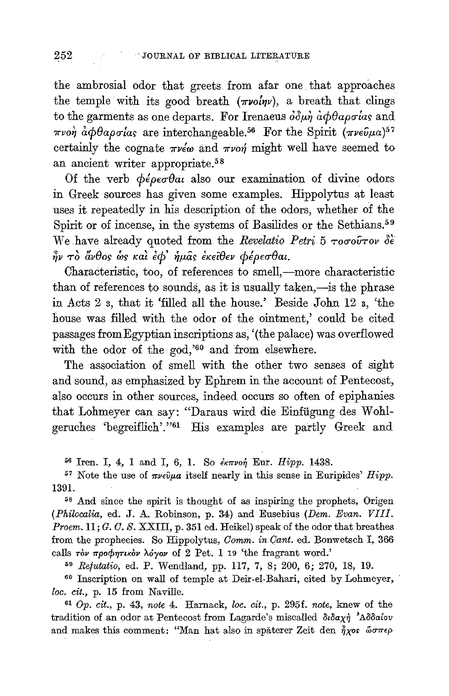the ambrosial odor that greets from afar one that approaches the temple with its good breath  $(\pi\nu o \nu)$ , a breath that clings to the garments as one departs. For Irenaeus  $\partial \partial \mu \dot{\eta} \, d\phi \theta a \rho \sigma a a s$  and πνοή αφθαρσίας are interchangeable.<sup>56</sup> For the Spirit (πνεύμα)<sup>57</sup> certainly the cognate  $\pi \nu \epsilon \omega$  and  $\pi \nu \nu \gamma$  might well have seemed to an ancient writer appropriate.<sup>58</sup>

Of the verb  $\phi \epsilon \rho \epsilon \sigma \theta \alpha t$  also our examination of divine odors in Greek sources has given some examples. Hippolytus at least uses it repeatedly in his description of the odors, whether of the Spirit or of incense, in the systems of Basilides or the Sethians.<sup>59</sup> We have already quoted from the Revelatio Petri 5  $\tau$ 000 $\sigma$ rov de  $\hat{\eta}$ ν το ἄνθος ως και έ $\phi'$  ήμας εκείθεν φέρεσθαι.

Characteristic, too, of references to smell,-more characteristic than of references to sounds, as it is usually taken,—is the phrase in Acts 2 s, that it 'filled all the house.' Beside John 12 s, 'the house was filled with the odor of the ointment,' could be cited passages from Egyptian inscriptions as, '(the palace) was overflowed with the odor of the god,'60 and from elsewhere.

The association of smell with the other two senses of sight and sound, as emphasized by Ephrem in the account of Pentecost, also occurs in other sources, indeed occurs so often of epiphanies that Lohmeyer can say: "Daraus wird die Einfügung des Wohlgeruches 'begreiflich'."61 His examples are partly Greek and

<sup>56</sup> Iren. I, 4, 1 and I, 6, 1. So εκπνοή Eur. Hipp. 1438.

<sup>57</sup> Note the use of  $\pi \nu \epsilon \hat{v} \mu a$  itself nearly in this sense in Euripides' Hipp. 1391.

<sup>58</sup> And since the spirit is thought of as inspiring the prophets, Origen (Philocalia, ed. J. A. Robinson, p. 34) and Eusebius (Dem. Evan. VIII. *Proem.*  $11; G, C, S, XXIII, p. 351$  ed. Heikel) speak of the odor that breathes from the prophecies. So Hippolytus, Comm. in Cant. ed. Bonwetsch I, 366 calls τον προφητικόν λόγον of 2 Pet. 1 19 'the fragrant word.'

<sup>59</sup> Refutatio, ed. P. Wendland, pp. 117, 7, 8; 200, 6; 270, 18, 19.

60 Inscription on wall of temple at Deir-el-Bahari, cited by Lohmeyer, loc. cit., p. 15 from Naville.

 $61$  Op. cit., p. 43, note 4. Harnack, loc. cit., p. 295f. note, knew of the tradition of an odor at Pentecost from Lagarde's miscalled  $\delta\iota\delta\alpha\chi\eta$  'A $\delta\delta\iota\iota\sigma\iota$ and makes this comment: "Man hat also in späterer Zeit den  $\hat{\eta} \chi$ os ώσπερ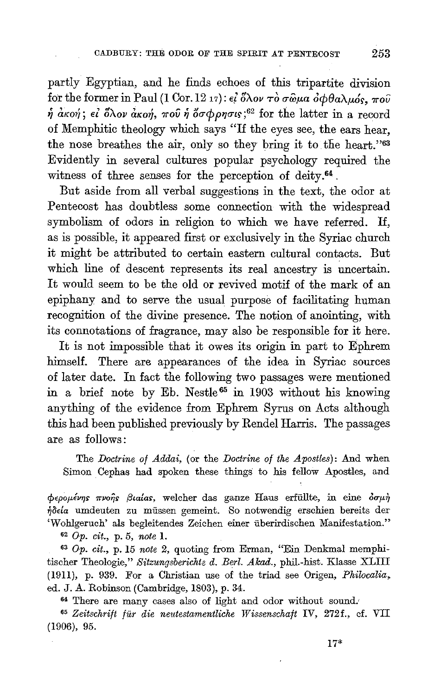partly Egyptian, and he finds echoes of this tripartite division for the former in Paul (1 Cor. 12 17):  $\epsilon_l^2$  ox  $\sigma \delta \sigma \omega \alpha \partial \phi \theta$  $\alpha \lambda \mu \delta s$ ,  $\pi \sigma \hat{\nu}$  $\hat{\eta}$  *akoή*; *εί δλον ακοή, ποῦ ἡ ὄσφρησις*;<sup>62</sup> for the latter in a record of Memphitic theology which says "If the eyes see, the ears hear, the nose breathes the air, only so they bring it to the heart."63 Evidently in several cultures popular psychology required the witness of three senses for the perception of deity.<sup>64</sup>.

But aside from all verbal suggestions in the text, the odor at Pentecost has doubtless some connection with the widespread symbolism of odors in religion to which we have referred. If, as is possible, it appeared first or exclusively in the Syriac church it might be attributed to certain eastern cultural contacts. But which line of descent represents its real ancestry is uncertain. It would seem to be the old or revived motif of the mark of an epiphany and to serve the usual purpose of facilitating human recognition of the divine presence. The notion of anointing, with its connotations of fragrance, may also be responsible for it here.

It is not impossible that it owes its origin in part to Ephrem himself. There are appearances of the idea in Syriac sources of later date. In fact the following two passages were mentioned in a brief note by Eb. Nestle<sup>65</sup> in 1903 without his knowing anything of the evidence from Ephrem Syrus on Acts although this had been published previously by Rendel Harris. The passages are as follows:

The *Doctrine of Addai*, (or the *Doctrine of the Apostles*): And when Simon Cephas had spoken these things to his fellow Apostles, and

 $\phi$ *ερομένης πνοῆς βιαίας*, welcher das ganze Haus erfüllte, in eine  $\delta \sigma \mu \dot{\eta}$  $\eta$ dela umdeuten zu müssen gemeint. So notwendig erschien bereits der 'Wohlgeruch' als begleitendes Zeichen einer iiberirdischen Manifestation."

<sup>62</sup>*Op. cit.,* p. 5, *note* l.

63 *Op. cit.,* p. 15 *note* 2, quoting from Erman, "Ein Denkmal memphitischer Theologie," Sitzungsberichte d. Berl. Akad., phil.-hist. Klasse XLIII (1911), p. 939. For a Christian use of the triad see Origen, *Philocalia,* 

ed. J. A. Robinson (Cambridge, 1803), p. 34. 64 There are many cases also of light and odor without sound.' 65 *Zeitschrift fur die netdestamentliche Wissenschaft* IV, 272f., cf. VII (1906), 95.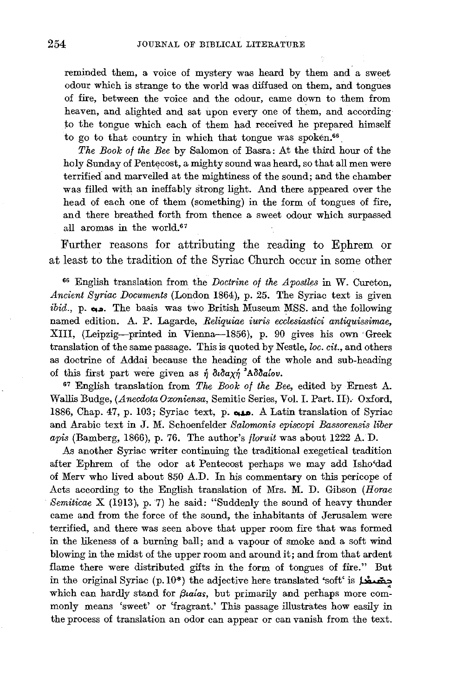reminded them, a voice of mystery was heard by them and a sweet odour which is strange to the world was diffused on them, and tongues of fire, between the voice and the odour, came down to them from heaven, and alighted and sat upon every one of them, and according *to* the tongue which each of them had received he prepared himself to go to that country in which that tongue was spoken.<sup>66</sup>

*The Book of the Bee* by Salomon of Basra: At the third hour of the holy Sunday of Pentecost, a mighty sound was heard, so that all men were terrified and marvelled at the mightiness of the sound; and the chamber was filled with an ineffably strong light. And there appeared over the head of each one of them (something) in the form of tongues of fire, and there breathed forth from thence a sweet odour which surpassed all aromas in the world\_67

Further reasons for attributing the reading to Ephrem or at least to the tradition of the Syriac Church occur in some other

66 English translation from the *Doctrine of the Apostles* in W. Cureton, *Ancient Syriac Documents* (London 1864), p. 25. The Syriac text is given *ibid.*, p.  $\omega$ . The basis was two British Museum MSS. and the following named edition. A. P. Lagarde, *Reliquiae iuris ecclesiastici antiquissimae,*  XIII, (Leipzig-printed in Vienna-1856), p. 90 gives his own Greek translation of the same passage. This is quoted by Nestle, loc. cit., and others as doctrine of Addai because the heading of the whole and sub-heading of this first part were given as  $\eta$   $\partial \iota \partial a \chi \eta$   $\Delta \partial \iota \partial a$  *(ov.* 

67 English translation from *The Book of the Bee,* edited by Ernest A. Wallis Budge, *(AnecdotaOxoniensa,* Semitic Series, Vol. I. Part. II). Oxford, 1886, Chap. 47, p. 103; Syriac text, p. مده. A Latin translation of Syriac and Arabic text in J. M. Schoenfelder *Salomonis episcopi Bassorensis liber apis* (Bamberg, 1866), p. 76. The author's *floruit* was about 1222 A. D.

As another Syriac writer continuing the traditional exegetical tradition after Ephrem of the odor at Pentecost perhaps we may add Isho'dad of Merv who lived about 850 A.D. In his commentary on this pericope of Acts according to the English translation of Mrs. M. D. Gibson *(Horae Semiticae* X (1913), p. 7) he said: "Suddenly the sound of heavy thunder came and from the force of the sound, the inhabitants of Jerusalem were terrified, and there was seen above that upper room fire that was formed in the likeness of a burning ball; and a vapour of smoke and a soft wind blowing in the midst of the upper room and around it; and from that ardent flame there were distributed gifts in the form of tongues of fire." But in the original Syriac (p.10\*) the adjective here translated 'soft' is  $\vec{A}$ which can hardly stand for *fluatas*, but primarily and perhaps more commonly means 'sweet' or 'fragrant.' This passage illustrates how easily in the process of translation an odor can appear or can vanish from the text.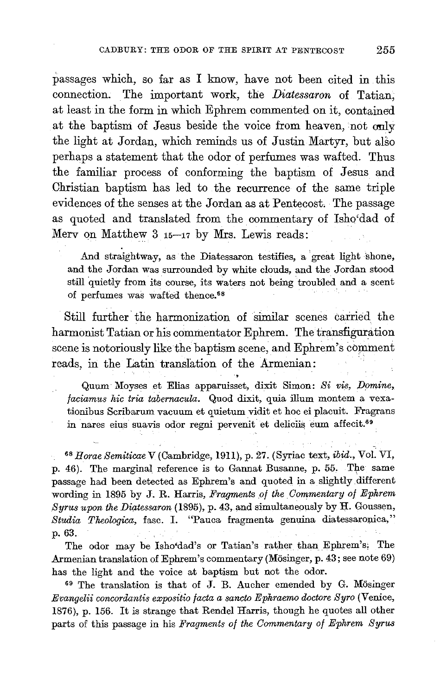passages which, so far as I know, have not been cited in this connection. The important work, the *Diatessaron* of Tatian; at least in the form in which Ephrem commented on it, contained at the baptism of Jesus beside the voice from heaven, not only the light at Jordan, which reminds us of Justin Martyr, but also perhaps a statement that the odor of perfumes was wafted. Thus the familiar process of conforming the baptism of Jesus and Christian baptism has led to the recurrence of the same triple evidences of the senses at the Jordan as at Pentecost. The passage as quoted and translated from the commentary of Isho'dad of Merv on Matthew  $3$   $15-17$  by Mrs. Lewis reads:

And straightway, as the Diatessaron testifies, a great light shone, and the Jordan was surrounded by white clouds, and the Jordan stood still quietly from its course, its waters not being troubled and a scent of perfumes was wafted thence.<sup>68</sup>

Still further the harmonization of similar scenes carried the harmonist Tatian or his commentator Ephrem. The transfiguration scene is notoriously like the baptism scene, and Ephrem's comment reads, in the Latin translation of the Armenian:

Quum Moyses et Elias apparuisset, dixit Simon: Si vis, Domine, *faciamus hie tria tabernacula.* Quod dixit, quia ilium montem a vexationibus Scribarum vacuum et quietum vidit et hoc ei placuit. Fragrans in nares eius suavis odor regni pervenit et deliciis eum affecit.<sup>69</sup>

<sup>68</sup>*Horae Semiticae* V (Cambridge, 1911), p. 27. (Syriac text, *ibid.,* Vol. VI, p. 46). The marginal reference is to Gannat Busanne, p. 55. The same passage had been detected as Ephrem's and quoted in a slightly different wording in 1895 by J. R. Harris, *Fragments of the. Commentary of Ephrem Syrus upon the Diatessaron* (1895), p. 43, and simultaneously by H. Goussen, *Studia Theologica,* fasc. I. "Pauca fragmenta genuina diatessaronica," p. 63.

The odor may be Isho'dad's or Tatian's rather than Ephrem's; The Armenian translation of Ephrem's commentary (Mösinger, p. 43; see note 69) has the light and the voice at baptism but not the odor.<br><sup>69</sup> The translation is that of J. B. Aucher emended by G. Mösinger

*Evangelii concordantis expositio facta a sancto Ephraerno doctore S yro* (Venice, 1876), p. 156. It is strange that Rendel Harris, though he quotes all other parts of this passage in his *Fragments of the Commentary of Ephrem Syrus*